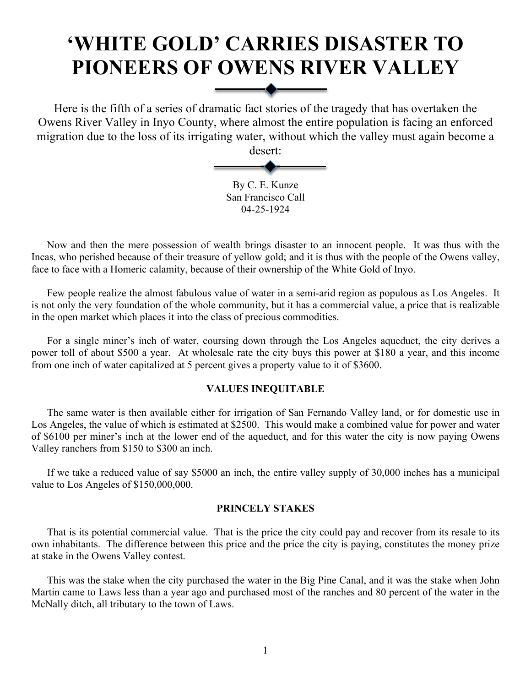# **'WHITE GOLD' CARRIES DISASTER TO PIONEERS OF OWENS RIVER VALLEY**

Here is the fifth of a series of dramatic fact stories of the tragedy that has overtaken the Owens River Valley in Inyo County, where almost the entire population is facing an enforced migration due to the loss of its irrigating water, without which the valley must again become a desert:

> By C. E. Kunze San Francisco Call 04-25-1924

Now and then the mere possession of wealth brings disaster to an innocent people. It was thus with the Incas, who perished because of their treasure of yellow gold; and it is thus with the people of the Owens valley, face to face with a Homeric calamity, because of their ownership of the White Gold of Inyo.

Few people realize the almost fabulous value of water in a semi-arid region as populous as Los Angeles. It is not only the very foundation of the whole community, but it has a commercial value, a price that is realizable in the open market which places it into the class of precious commodities.

For a single miner's inch of water, coursing down through the Los Angeles aqueduct, the city derives a power toll of about \$500 a year. At wholesale rate the city buys this power at \$180 a year, and this income from one inch of water capitalized at 5 percent gives a property value to it of \$3600.

# **VALUES INEQUITABLE**

The same water is then available either for irrigation of San Fernando Valley land, or for domestic use in Los Angeles, the value of which is estimated at \$2500. This would make a combined value for power and water of \$6100 per miner's inch at the lower end of the aqueduct, and for this water the city is now paying Owens Valley ranchers from \$150 to \$300 an inch.

If we take a reduced value of say \$5000 an inch, the entire valley supply of 30,000 inches has a municipal value to Los Angeles of \$150,000,000.

# **PRINCELY STAKES**

That is its potential commercial value. That is the price the city could pay and recover from its resale to its own inhabitants. The difference between this price and the price the city is paying, constitutes the money prize at stake in the Owens Valley contest.

This was the stake when the city purchased the water in the Big Pine Canal, and it was the stake when John Martin came to Laws less than a year ago and purchased most of the ranches and 80 percent of the water in the McNally ditch, all tributary to the town of Laws.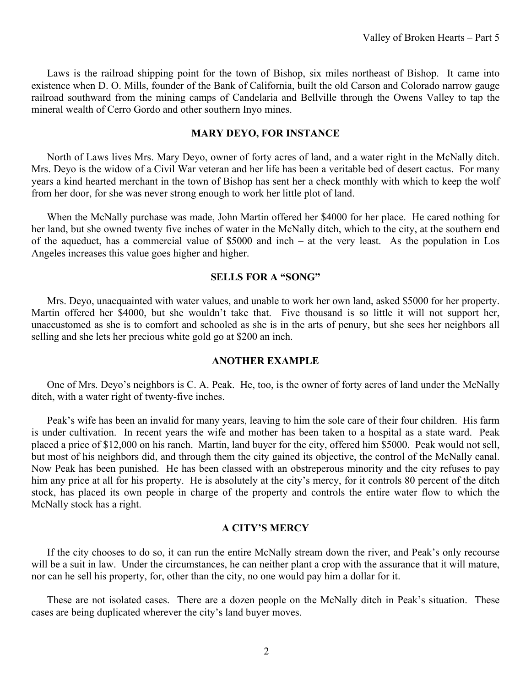Laws is the railroad shipping point for the town of Bishop, six miles northeast of Bishop. It came into existence when D. O. Mills, founder of the Bank of California, built the old Carson and Colorado narrow gauge railroad southward from the mining camps of Candelaria and Bellville through the Owens Valley to tap the mineral wealth of Cerro Gordo and other southern Inyo mines.

#### **MARY DEYO, FOR INSTANCE**

North of Laws lives Mrs. Mary Deyo, owner of forty acres of land, and a water right in the McNally ditch. Mrs. Deyo is the widow of a Civil War veteran and her life has been a veritable bed of desert cactus. For many years a kind hearted merchant in the town of Bishop has sent her a check monthly with which to keep the wolf from her door, for she was never strong enough to work her little plot of land.

When the McNally purchase was made, John Martin offered her \$4000 for her place. He cared nothing for her land, but she owned twenty five inches of water in the McNally ditch, which to the city, at the southern end of the aqueduct, has a commercial value of \$5000 and inch – at the very least. As the population in Los Angeles increases this value goes higher and higher.

#### **SELLS FOR A "SONG"**

Mrs. Deyo, unacquainted with water values, and unable to work her own land, asked \$5000 for her property. Martin offered her \$4000, but she wouldn't take that. Five thousand is so little it will not support her, unaccustomed as she is to comfort and schooled as she is in the arts of penury, but she sees her neighbors all selling and she lets her precious white gold go at \$200 an inch.

# **ANOTHER EXAMPLE**

One of Mrs. Deyo's neighbors is C. A. Peak. He, too, is the owner of forty acres of land under the McNally ditch, with a water right of twenty-five inches.

Peak's wife has been an invalid for many years, leaving to him the sole care of their four children. His farm is under cultivation. In recent years the wife and mother has been taken to a hospital as a state ward. Peak placed a price of \$12,000 on his ranch. Martin, land buyer for the city, offered him \$5000. Peak would not sell, but most of his neighbors did, and through them the city gained its objective, the control of the McNally canal. Now Peak has been punished. He has been classed with an obstreperous minority and the city refuses to pay him any price at all for his property. He is absolutely at the city's mercy, for it controls 80 percent of the ditch stock, has placed its own people in charge of the property and controls the entire water flow to which the McNally stock has a right.

# **A CITY'S MERCY**

If the city chooses to do so, it can run the entire McNally stream down the river, and Peak's only recourse will be a suit in law. Under the circumstances, he can neither plant a crop with the assurance that it will mature, nor can he sell his property, for, other than the city, no one would pay him a dollar for it.

These are not isolated cases. There are a dozen people on the McNally ditch in Peak's situation. These cases are being duplicated wherever the city's land buyer moves.